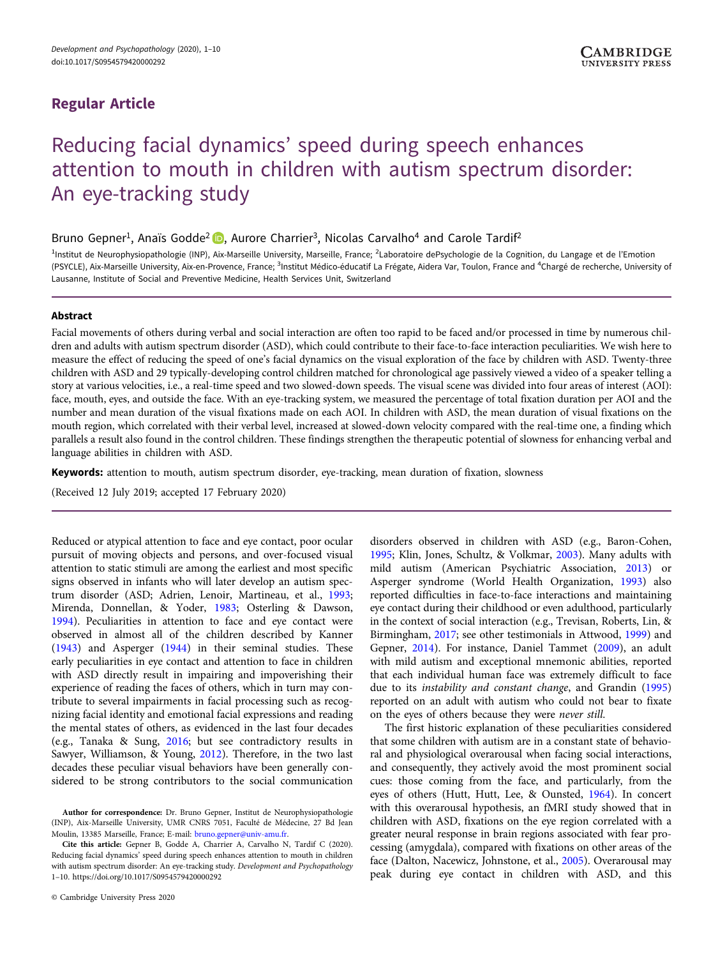# Regular Article

# Reducing facial dynamics' speed during speech enhances attention to mouth in children with autism spectrum disorder: An eye-tracking study

Bruno Gepner<sup>1</sup>, Anaïs Godde<sup>2</sup> (D), Aurore Charrier<sup>3</sup>, Nicolas Carvalho<sup>4</sup> and Carole Tardif<sup>2</sup>

1Institut de Neurophysiopathologie (INP), Aix-Marseille University, Marseille, France; <sup>2</sup>Laboratoire dePsychologie de la Cognition, du Langage et de l'Emotion (PSYCLE), Aix-Marseille University, Aix-en-Provence, France; <sup>3</sup>Institut Médico-éducatif La Frégate, Aidera Var, Toulon, France and <sup>4</sup>Chargé de recherche, University of Lausanne, Institute of Social and Preventive Medicine, Health Services Unit, Switzerland

#### Abstract

Facial movements of others during verbal and social interaction are often too rapid to be faced and/or processed in time by numerous children and adults with autism spectrum disorder (ASD), which could contribute to their face-to-face interaction peculiarities. We wish here to measure the effect of reducing the speed of one's facial dynamics on the visual exploration of the face by children with ASD. Twenty-three children with ASD and 29 typically-developing control children matched for chronological age passively viewed a video of a speaker telling a story at various velocities, i.e., a real-time speed and two slowed-down speeds. The visual scene was divided into four areas of interest (AOI): face, mouth, eyes, and outside the face. With an eye-tracking system, we measured the percentage of total fixation duration per AOI and the number and mean duration of the visual fixations made on each AOI. In children with ASD, the mean duration of visual fixations on the mouth region, which correlated with their verbal level, increased at slowed-down velocity compared with the real-time one, a finding which parallels a result also found in the control children. These findings strengthen the therapeutic potential of slowness for enhancing verbal and language abilities in children with ASD.

Keywords: attention to mouth, autism spectrum disorder, eye-tracking, mean duration of fixation, slowness

(Received 12 July 2019; accepted 17 February 2020)

Reduced or atypical attention to face and eye contact, poor ocular pursuit of moving objects and persons, and over-focused visual attention to static stimuli are among the earliest and most specific signs observed in infants who will later develop an autism spectrum disorder (ASD; Adrien, Lenoir, Martineau, et al., [1993;](#page-7-0) Mirenda, Donnellan, & Yoder, [1983;](#page-8-0) Osterling & Dawson, [1994\)](#page-8-0). Peculiarities in attention to face and eye contact were observed in almost all of the children described by Kanner ([1943](#page-8-0)) and Asperger [\(1944\)](#page-7-0) in their seminal studies. These early peculiarities in eye contact and attention to face in children with ASD directly result in impairing and impoverishing their experience of reading the faces of others, which in turn may contribute to several impairments in facial processing such as recognizing facial identity and emotional facial expressions and reading the mental states of others, as evidenced in the last four decades (e.g., Tanaka & Sung, [2016;](#page-9-0) but see contradictory results in Sawyer, Williamson, & Young, [2012\)](#page-8-0). Therefore, in the two last decades these peculiar visual behaviors have been generally considered to be strong contributors to the social communication

disorders observed in children with ASD (e.g., Baron-Cohen, [1995](#page-7-0); Klin, Jones, Schultz, & Volkmar, [2003](#page-8-0)). Many adults with mild autism (American Psychiatric Association, [2013\)](#page-7-0) or Asperger syndrome (World Health Organization, [1993](#page-9-0)) also reported difficulties in face-to-face interactions and maintaining eye contact during their childhood or even adulthood, particularly in the context of social interaction (e.g., Trevisan, Roberts, Lin, & Birmingham, [2017;](#page-9-0) see other testimonials in Attwood, [1999](#page-7-0)) and Gepner, [2014](#page-8-0)). For instance, Daniel Tammet [\(2009\)](#page-9-0), an adult with mild autism and exceptional mnemonic abilities, reported that each individual human face was extremely difficult to face due to its instability and constant change, and Grandin [\(1995](#page-8-0)) reported on an adult with autism who could not bear to fixate on the eyes of others because they were never still.

The first historic explanation of these peculiarities considered that some children with autism are in a constant state of behavioral and physiological overarousal when facing social interactions, and consequently, they actively avoid the most prominent social cues: those coming from the face, and particularly, from the eyes of others (Hutt, Hutt, Lee, & Ounsted, [1964](#page-8-0)). In concert with this overarousal hypothesis, an fMRI study showed that in children with ASD, fixations on the eye region correlated with a greater neural response in brain regions associated with fear processing (amygdala), compared with fixations on other areas of the face (Dalton, Nacewicz, Johnstone, et al., [2005\)](#page-7-0). Overarousal may peak during eye contact in children with ASD, and this

Author for correspondence: Dr. Bruno Gepner, Institut de Neurophysiopathologie (INP), Aix-Marseille University, UMR CNRS 7051, Faculté de Médecine, 27 Bd Jean Moulin, 13385 Marseille, France; E-mail: [bruno.gepner@univ-amu.fr](mailto:bruno.gepner@univ-amu.fr).

Cite this article: Gepner B, Godde A, Charrier A, Carvalho N, Tardif C (2020). Reducing facial dynamics' speed during speech enhances attention to mouth in children with autism spectrum disorder: An eye-tracking study. Development and Psychopathology 1–10.<https://doi.org/10.1017/S0954579420000292>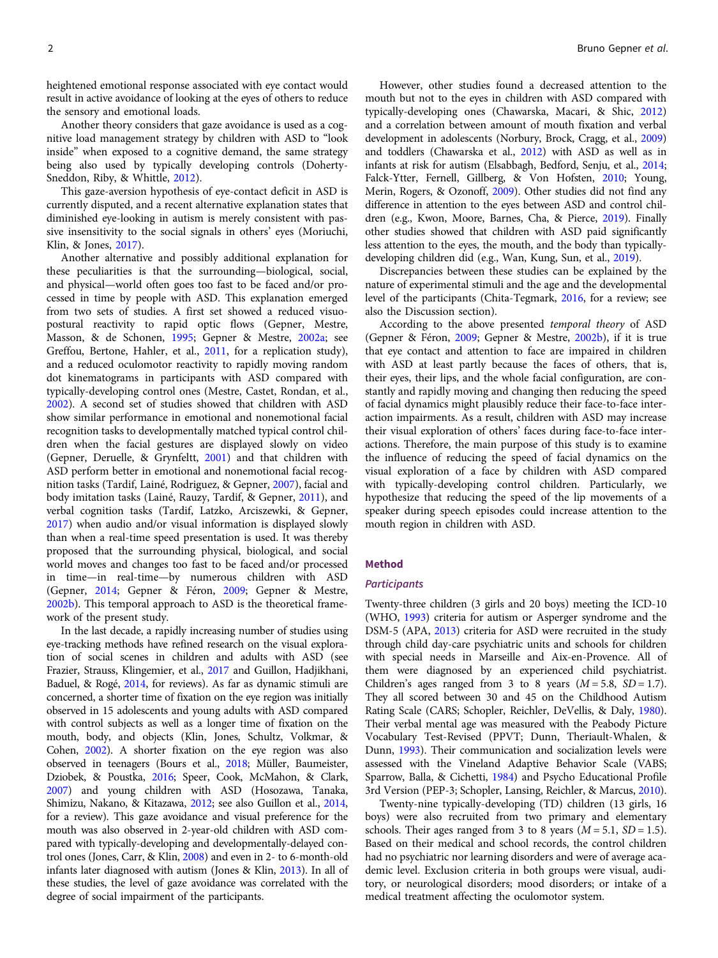heightened emotional response associated with eye contact would result in active avoidance of looking at the eyes of others to reduce the sensory and emotional loads.

Another theory considers that gaze avoidance is used as a cognitive load management strategy by children with ASD to "look inside" when exposed to a cognitive demand, the same strategy being also used by typically developing controls (Doherty-Sneddon, Riby, & Whittle, [2012\)](#page-7-0).

This gaze-aversion hypothesis of eye-contact deficit in ASD is currently disputed, and a recent alternative explanation states that diminished eye-looking in autism is merely consistent with passive insensitivity to the social signals in others' eyes (Moriuchi, Klin, & Jones, [2017\)](#page-8-0).

Another alternative and possibly additional explanation for these peculiarities is that the surrounding—biological, social, and physical—world often goes too fast to be faced and/or processed in time by people with ASD. This explanation emerged from two sets of studies. A first set showed a reduced visuopostural reactivity to rapid optic flows (Gepner, Mestre, Masson, & de Schonen, [1995](#page-8-0); Gepner & Mestre, [2002a;](#page-8-0) see Greffou, Bertone, Hahler, et al., [2011](#page-8-0), for a replication study), and a reduced oculomotor reactivity to rapidly moving random dot kinematograms in participants with ASD compared with typically-developing control ones (Mestre, Castet, Rondan, et al., [2002\)](#page-8-0). A second set of studies showed that children with ASD show similar performance in emotional and nonemotional facial recognition tasks to developmentally matched typical control children when the facial gestures are displayed slowly on video (Gepner, Deruelle, & Grynfeltt, [2001\)](#page-8-0) and that children with ASD perform better in emotional and nonemotional facial recognition tasks (Tardif, Lainé, Rodriguez, & Gepner, [2007\)](#page-9-0), facial and body imitation tasks (Lainé, Rauzy, Tardif, & Gepner, [2011](#page-8-0)), and verbal cognition tasks (Tardif, Latzko, Arciszewki, & Gepner, [2017\)](#page-9-0) when audio and/or visual information is displayed slowly than when a real-time speed presentation is used. It was thereby proposed that the surrounding physical, biological, and social world moves and changes too fast to be faced and/or processed in time—in real-time—by numerous children with ASD (Gepner, [2014;](#page-8-0) Gepner & Féron, [2009;](#page-8-0) Gepner & Mestre, [2002b](#page-8-0)). This temporal approach to ASD is the theoretical framework of the present study.

In the last decade, a rapidly increasing number of studies using eye-tracking methods have refined research on the visual exploration of social scenes in children and adults with ASD (see Frazier, Strauss, Klingemier, et al., [2017](#page-8-0) and Guillon, Hadjikhani, Baduel, & Rogé, [2014,](#page-8-0) for reviews). As far as dynamic stimuli are concerned, a shorter time of fixation on the eye region was initially observed in 15 adolescents and young adults with ASD compared with control subjects as well as a longer time of fixation on the mouth, body, and objects (Klin, Jones, Schultz, Volkmar, & Cohen, [2002](#page-8-0)). A shorter fixation on the eye region was also observed in teenagers (Bours et al., [2018;](#page-7-0) Müller, Baumeister, Dziobek, & Poustka, [2016;](#page-8-0) Speer, Cook, McMahon, & Clark, [2007](#page-8-0)) and young children with ASD (Hosozawa, Tanaka, Shimizu, Nakano, & Kitazawa, [2012](#page-8-0); see also Guillon et al., [2014,](#page-8-0) for a review). This gaze avoidance and visual preference for the mouth was also observed in 2-year-old children with ASD compared with typically-developing and developmentally-delayed control ones (Jones, Carr, & Klin, [2008\)](#page-8-0) and even in 2- to 6-month-old infants later diagnosed with autism (Jones & Klin, [2013](#page-8-0)). In all of these studies, the level of gaze avoidance was correlated with the degree of social impairment of the participants.

However, other studies found a decreased attention to the mouth but not to the eyes in children with ASD compared with typically-developing ones (Chawarska, Macari, & Shic, [2012](#page-7-0)) and a correlation between amount of mouth fixation and verbal development in adolescents (Norbury, Brock, Cragg, et al., [2009](#page-8-0)) and toddlers (Chawarska et al., [2012\)](#page-7-0) with ASD as well as in infants at risk for autism (Elsabbagh, Bedford, Senju, et al., [2014](#page-7-0); Falck-Ytter, Fernell, Gillberg, & Von Hofsten, [2010](#page-8-0); Young, Merin, Rogers, & Ozonoff, [2009](#page-9-0)). Other studies did not find any difference in attention to the eyes between ASD and control children (e.g., Kwon, Moore, Barnes, Cha, & Pierce, [2019](#page-8-0)). Finally other studies showed that children with ASD paid significantly less attention to the eyes, the mouth, and the body than typicallydeveloping children did (e.g., Wan, Kung, Sun, et al., [2019](#page-9-0)).

Discrepancies between these studies can be explained by the nature of experimental stimuli and the age and the developmental level of the participants (Chita-Tegmark, [2016,](#page-7-0) for a review; see also the Discussion section).

According to the above presented temporal theory of ASD (Gepner & Féron, [2009;](#page-8-0) Gepner & Mestre, [2002b\)](#page-8-0), if it is true that eye contact and attention to face are impaired in children with ASD at least partly because the faces of others, that is, their eyes, their lips, and the whole facial configuration, are constantly and rapidly moving and changing then reducing the speed of facial dynamics might plausibly reduce their face-to-face interaction impairments. As a result, children with ASD may increase their visual exploration of others' faces during face-to-face interactions. Therefore, the main purpose of this study is to examine the influence of reducing the speed of facial dynamics on the visual exploration of a face by children with ASD compared with typically-developing control children. Particularly, we hypothesize that reducing the speed of the lip movements of a speaker during speech episodes could increase attention to the mouth region in children with ASD.

#### Method

#### **Participants**

Twenty-three children (3 girls and 20 boys) meeting the ICD-10 (WHO, [1993](#page-9-0)) criteria for autism or Asperger syndrome and the DSM-5 (APA, [2013](#page-7-0)) criteria for ASD were recruited in the study through child day-care psychiatric units and schools for children with special needs in Marseille and Aix-en-Provence. All of them were diagnosed by an experienced child psychiatrist. Children's ages ranged from 3 to 8 years  $(M = 5.8, SD = 1.7)$ . They all scored between 30 and 45 on the Childhood Autism Rating Scale (CARS; Schopler, Reichler, DeVellis, & Daly, [1980](#page-8-0)). Their verbal mental age was measured with the Peabody Picture Vocabulary Test-Revised (PPVT; Dunn, Theriault-Whalen, & Dunn, [1993\)](#page-7-0). Their communication and socialization levels were assessed with the Vineland Adaptive Behavior Scale (VABS; Sparrow, Balla, & Cichetti, [1984](#page-8-0)) and Psycho Educational Profile 3rd Version (PEP-3; Schopler, Lansing, Reichler, & Marcus, [2010](#page-8-0)).

Twenty-nine typically-developing (TD) children (13 girls, 16 boys) were also recruited from two primary and elementary schools. Their ages ranged from 3 to 8 years  $(M = 5.1, SD = 1.5)$ . Based on their medical and school records, the control children had no psychiatric nor learning disorders and were of average academic level. Exclusion criteria in both groups were visual, auditory, or neurological disorders; mood disorders; or intake of a medical treatment affecting the oculomotor system.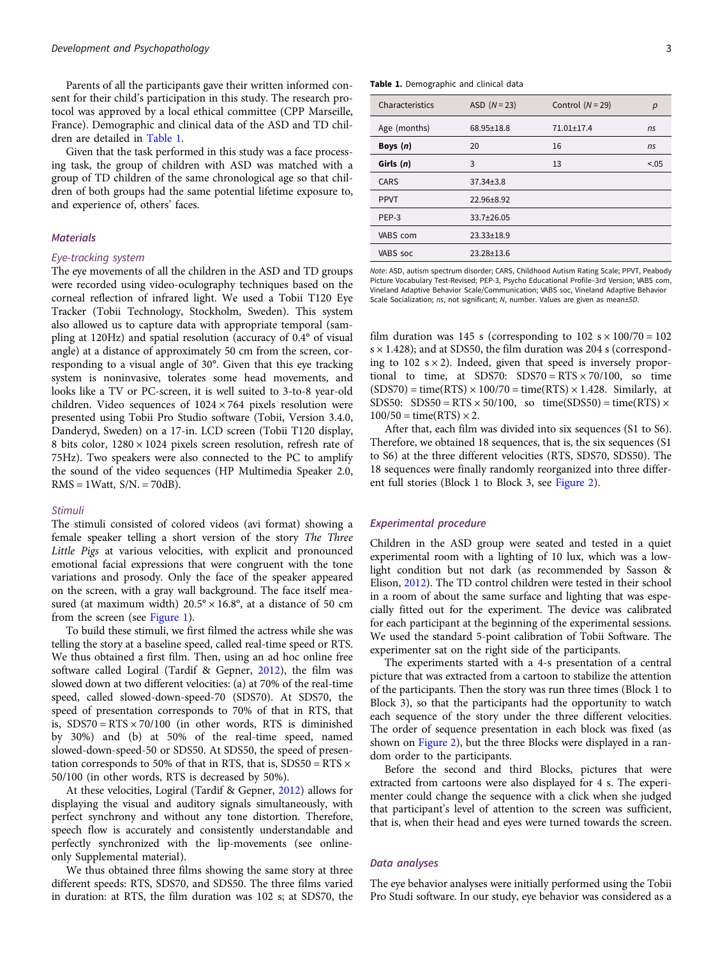<span id="page-2-0"></span>Parents of all the participants gave their written informed consent for their child's participation in this study. The research protocol was approved by a local ethical committee (CPP Marseille, France). Demographic and clinical data of the ASD and TD children are detailed in Table 1.

Given that the task performed in this study was a face processing task, the group of children with ASD was matched with a group of TD children of the same chronological age so that children of both groups had the same potential lifetime exposure to, and experience of, others' faces.

#### **Materials**

# Eye-tracking system

The eye movements of all the children in the ASD and TD groups were recorded using video-oculography techniques based on the corneal reflection of infrared light. We used a Tobii T120 Eye Tracker (Tobii Technology, Stockholm, Sweden). This system also allowed us to capture data with appropriate temporal (sampling at 120Hz) and spatial resolution (accuracy of 0.4° of visual angle) at a distance of approximately 50 cm from the screen, corresponding to a visual angle of 30°. Given that this eye tracking system is noninvasive, tolerates some head movements, and looks like a TV or PC-screen, it is well suited to 3-to-8 year-old children. Video sequences of  $1024 \times 764$  pixels resolution were presented using Tobii Pro Studio software (Tobii, Version 3.4.0, Danderyd, Sweden) on a 17-in. LCD screen (Tobii T120 display, 8 bits color, 1280 × 1024 pixels screen resolution, refresh rate of 75Hz). Two speakers were also connected to the PC to amplify the sound of the video sequences (HP Multimedia Speaker 2.0,  $RMS = 1Watt$ ,  $S/N = 70dB$ .

# Stimuli

The stimuli consisted of colored videos (avi format) showing a female speaker telling a short version of the story The Three Little Pigs at various velocities, with explicit and pronounced emotional facial expressions that were congruent with the tone variations and prosody. Only the face of the speaker appeared on the screen, with a gray wall background. The face itself measured (at maximum width)  $20.5^{\circ} \times 16.8^{\circ}$ , at a distance of 50 cm from the screen (see [Figure 1\)](#page-3-0).

To build these stimuli, we first filmed the actress while she was telling the story at a baseline speed, called real-time speed or RTS. We thus obtained a first film. Then, using an ad hoc online free software called Logiral (Tardif & Gepner, [2012\)](#page-9-0), the film was slowed down at two different velocities: (a) at 70% of the real-time speed, called slowed-down-speed-70 (SDS70). At SDS70, the speed of presentation corresponds to 70% of that in RTS, that is,  $SDS70 = RTS \times 70/100$  (in other words, RTS is diminished by 30%) and (b) at 50% of the real-time speed, named slowed-down-speed-50 or SDS50. At SDS50, the speed of presentation corresponds to 50% of that in RTS, that is,  $SDSS0 = RTS \times$ 50/100 (in other words, RTS is decreased by 50%).

At these velocities, Logiral (Tardif & Gepner, [2012\)](#page-9-0) allows for displaying the visual and auditory signals simultaneously, with perfect synchrony and without any tone distortion. Therefore, speech flow is accurately and consistently understandable and perfectly synchronized with the lip-movements (see onlineonly Supplemental material).

We thus obtained three films showing the same story at three different speeds: RTS, SDS70, and SDS50. The three films varied in duration: at RTS, the film duration was 102 s; at SDS70, the

|  | Table 1. Demographic and clinical data |  |  |  |
|--|----------------------------------------|--|--|--|
|--|----------------------------------------|--|--|--|

| Characteristics | ASD $(N = 23)$ | Control $(N = 29)$ | p     |
|-----------------|----------------|--------------------|-------|
| Age (months)    | 68.95 + 18.8   | $71.01 \pm 17.4$   | ns    |
| Boys $(n)$      | 20             | 16                 | ns    |
| Girls $(n)$     | 3              | 13                 | < .05 |
| <b>CARS</b>     | $37.34 + 3.8$  |                    |       |
| <b>PPVT</b>     | 22.96+8.92     |                    |       |
| PEP-3           | $33.7 + 26.05$ |                    |       |
| VABS com        | $23.33 + 18.9$ |                    |       |
| VABS soc        | $23.28 + 13.6$ |                    |       |

Note: ASD, autism spectrum disorder; CARS, Childhood Autism Rating Scale; PPVT, Peabody Picture Vocabulary Test-Revised; PEP-3, Psycho Educational Profile–3rd Version; VABS com, Vineland Adaptive Behavior Scale/Communication; VABS soc, Vineland Adaptive Behavior Scale Socialization; ns, not significant; N, number. Values are given as mean±SD.

film duration was 145 s (corresponding to  $102 \text{ s} \times 100/70 = 102$  $s \times 1.428$ ); and at SDS50, the film duration was 204 s (corresponding to 102  $s \times 2$ ). Indeed, given that speed is inversely proportional to time, at SDS70:  $SDS70 = RTS \times 70/100$ , so time  $(SDS70) = time(RTS) \times 100/70 = time(RTS) \times 1.428$ . Similarly, at SDS50: SDS50 = RTS  $\times$  50/100, so time(SDS50) = time(RTS)  $\times$  $100/50 = \text{time}(RTS) \times 2$ .

After that, each film was divided into six sequences (S1 to S6). Therefore, we obtained 18 sequences, that is, the six sequences (S1 to S6) at the three different velocities (RTS, SDS70, SDS50). The 18 sequences were finally randomly reorganized into three different full stories (Block 1 to Block 3, see [Figure 2](#page-3-0)).

#### Experimental procedure

Children in the ASD group were seated and tested in a quiet experimental room with a lighting of 10 lux, which was a lowlight condition but not dark (as recommended by Sasson & Elison, [2012\)](#page-8-0). The TD control children were tested in their school in a room of about the same surface and lighting that was especially fitted out for the experiment. The device was calibrated for each participant at the beginning of the experimental sessions. We used the standard 5-point calibration of Tobii Software. The experimenter sat on the right side of the participants.

The experiments started with a 4-s presentation of a central picture that was extracted from a cartoon to stabilize the attention of the participants. Then the story was run three times (Block 1 to Block 3), so that the participants had the opportunity to watch each sequence of the story under the three different velocities. The order of sequence presentation in each block was fixed (as shown on [Figure 2](#page-3-0)), but the three Blocks were displayed in a random order to the participants.

Before the second and third Blocks, pictures that were extracted from cartoons were also displayed for 4 s. The experimenter could change the sequence with a click when she judged that participant's level of attention to the screen was sufficient, that is, when their head and eyes were turned towards the screen.

#### Data analyses

The eye behavior analyses were initially performed using the Tobii Pro Studi software. In our study, eye behavior was considered as a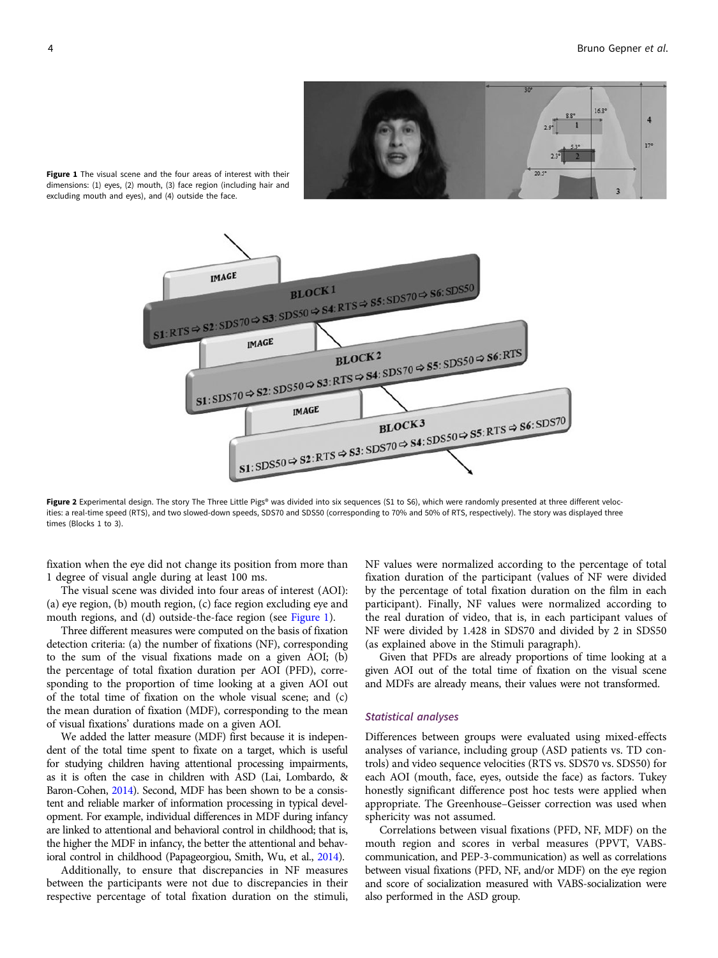

<span id="page-3-0"></span>Figure 1 The visual scene and the four areas of interest with their dimensions: (1) eyes, (2) mouth, (3) face region (including hair and excluding mouth and eyes), and (4) outside the face.



Figure 2 Experimental design. The story The Three Little Pigs® was divided into six sequences (S1 to S6), which were randomly presented at three different velocities: a real-time speed (RTS), and two slowed-down speeds, SDS70 and SDS50 (corresponding to 70% and 50% of RTS, respectively). The story was displayed three times (Blocks 1 to 3).

fixation when the eye did not change its position from more than 1 degree of visual angle during at least 100 ms.

The visual scene was divided into four areas of interest (AOI): (a) eye region, (b) mouth region, (c) face region excluding eye and mouth regions, and (d) outside-the-face region (see Figure 1).

Three different measures were computed on the basis of fixation detection criteria: (a) the number of fixations (NF), corresponding to the sum of the visual fixations made on a given AOI; (b) the percentage of total fixation duration per AOI (PFD), corresponding to the proportion of time looking at a given AOI out of the total time of fixation on the whole visual scene; and (c) the mean duration of fixation (MDF), corresponding to the mean of visual fixations' durations made on a given AOI.

We added the latter measure (MDF) first because it is independent of the total time spent to fixate on a target, which is useful for studying children having attentional processing impairments, as it is often the case in children with ASD (Lai, Lombardo, & Baron-Cohen, [2014\)](#page-8-0). Second, MDF has been shown to be a consistent and reliable marker of information processing in typical development. For example, individual differences in MDF during infancy are linked to attentional and behavioral control in childhood; that is, the higher the MDF in infancy, the better the attentional and behavioral control in childhood (Papageorgiou, Smith, Wu, et al., [2014](#page-8-0)).

Additionally, to ensure that discrepancies in NF measures between the participants were not due to discrepancies in their respective percentage of total fixation duration on the stimuli,

NF values were normalized according to the percentage of total fixation duration of the participant (values of NF were divided by the percentage of total fixation duration on the film in each participant). Finally, NF values were normalized according to the real duration of video, that is, in each participant values of NF were divided by 1.428 in SDS70 and divided by 2 in SDS50 (as explained above in the Stimuli paragraph).

Given that PFDs are already proportions of time looking at a given AOI out of the total time of fixation on the visual scene and MDFs are already means, their values were not transformed.

#### Statistical analyses

Differences between groups were evaluated using mixed-effects analyses of variance, including group (ASD patients vs. TD controls) and video sequence velocities (RTS vs. SDS70 vs. SDS50) for each AOI (mouth, face, eyes, outside the face) as factors. Tukey honestly significant difference post hoc tests were applied when appropriate. The Greenhouse–Geisser correction was used when sphericity was not assumed.

Correlations between visual fixations (PFD, NF, MDF) on the mouth region and scores in verbal measures (PPVT, VABScommunication, and PEP-3-communication) as well as correlations between visual fixations (PFD, NF, and/or MDF) on the eye region and score of socialization measured with VABS-socialization were also performed in the ASD group.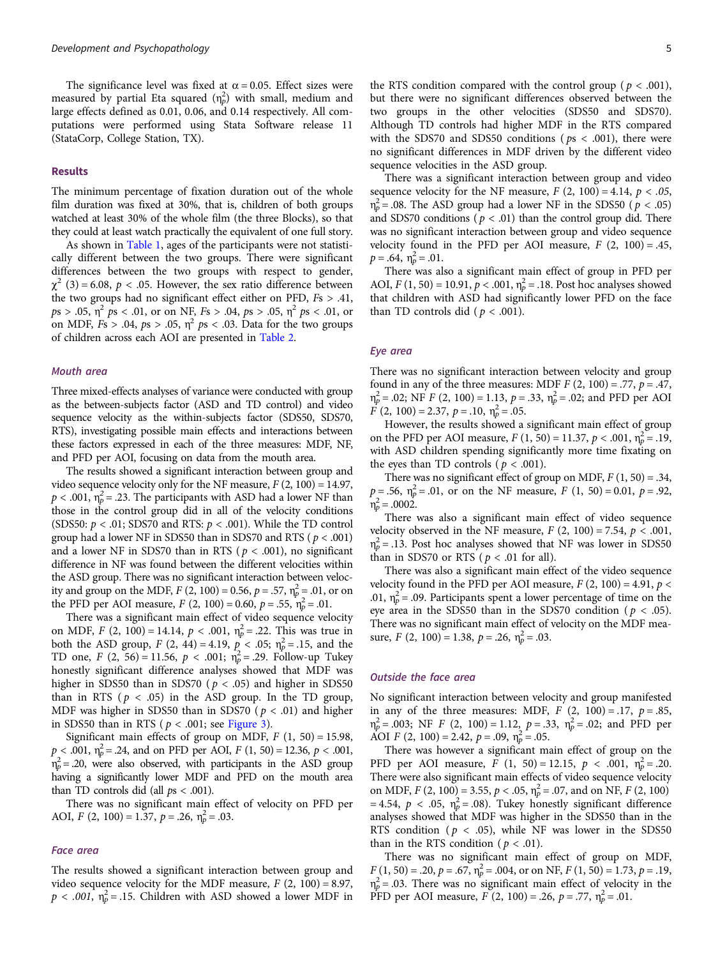The significance level was fixed at  $\alpha$  = 0.05. Effect sizes were measured by partial Eta squared  $(n_p^2)$  with small, medium and large effects defined as 0.01, 0.06, and 0.14 respectively. All computations were performed using Stata Software release 11 (StataCorp, College Station, TX).

#### Results

The minimum percentage of fixation duration out of the whole film duration was fixed at 30%, that is, children of both groups watched at least 30% of the whole film (the three Blocks), so that they could at least watch practically the equivalent of one full story.

As shown in [Table 1](#page-2-0), ages of the participants were not statistically different between the two groups. There were significant differences between the two groups with respect to gender,  $\chi^2$  (3) = 6.08, p < .05. However, the sex ratio difference between the two groups had no significant effect either on PFD, Fs > .41,  $ps > .05$ ,  $\eta^2$   $ps < .01$ , or on NF,  $Fs > .04$ ,  $ps > .05$ ,  $\eta^2$   $ps < .01$ , or on MDF,  $Fs > .04$ ,  $ps > .05$ ,  $\eta^2 ps < .03$ . Data for the two groups of children across each AOI are presented in [Table 2.](#page-5-0)

### Mouth area

Three mixed-effects analyses of variance were conducted with group as the between-subjects factor (ASD and TD control) and video sequence velocity as the within-subjects factor (SDS50, SDS70, RTS), investigating possible main effects and interactions between these factors expressed in each of the three measures: MDF, NF, and PFD per AOI, focusing on data from the mouth area.

The results showed a significant interaction between group and video sequence velocity only for the NF measure,  $F(2, 100) = 14.97$ ,  $p < .001$ ,  $\eta_p^2 = .23$ . The participants with ASD had a lower NF than those in the control group did in all of the velocity conditions (SDS50:  $p < .01$ ; SDS70 and RTS:  $p < .001$ ). While the TD control group had a lower NF in SDS50 than in SDS70 and RTS ( $p < .001$ ) and a lower NF in SDS70 than in RTS ( $p < .001$ ), no significant difference in NF was found between the different velocities within the ASD group. There was no significant interaction between velocity and group on the MDF,  $F(2, 100) = 0.56$ ,  $p = .57$ ,  $\eta_p^2 = .01$ , or on the PFD per AOI measure,  $F(2, 100) = 0.60$ ,  $p = .55$ ,  $\eta_p^2 = .01$ .

There was a significant main effect of video sequence velocity on MDF,  $F(2, 100) = 14.14$ ,  $p < .001$ ,  $\eta_p^2 = .22$ . This was true in both the ASD group,  $F(2, 44) = 4.19$ ,  $p < 0.05$ ;  $\eta_p^2 = 0.15$ , and the TD one,  $F(2, 56) = 11.56$ ,  $p < .001$ ;  $\eta_p^2 = .29$ . Follow-up Tukey honestly significant difference analyses showed that MDF was higher in SDS50 than in SDS70 ( $p < .05$ ) and higher in SDS50 than in RTS ( $p < .05$ ) in the ASD group. In the TD group, MDF was higher in SDS50 than in SDS70 ( $p < .01$ ) and higher in SDS50 than in RTS ( $p < .001$ ; see [Figure 3](#page-5-0)).

Significant main effects of group on MDF,  $F(1, 50) = 15.98$ ,  $p < .001$ ,  $\eta_p^2 = .24$ , and on PFD per AOI,  $F(1, 50) = 12.36$ ,  $p < .001$ ,  $n_p^2$  = .20, were also observed, with participants in the ASD group having a significantly lower MDF and PFD on the mouth area than TD controls did (all  $ps < .001$ ).

There was no significant main effect of velocity on PFD per AOI, F (2, 100) = 1.37,  $p = .26$ ,  $\eta_p^2 = .03$ .

#### Face area

The results showed a significant interaction between group and video sequence velocity for the MDF measure,  $F(2, 100) = 8.97$ ,  $p < .001$ ,  $\eta_p^2 = .15$ . Children with ASD showed a lower MDF in

the RTS condition compared with the control group ( $p < .001$ ), but there were no significant differences observed between the two groups in the other velocities (SDS50 and SDS70). Although TD controls had higher MDF in the RTS compared with the SDS70 and SDS50 conditions ( $ps < .001$ ), there were no significant differences in MDF driven by the different video sequence velocities in the ASD group.

There was a significant interaction between group and video sequence velocity for the NF measure,  $F(2, 100) = 4.14$ ,  $p < .05$ ,  $\eta_p^2$  = .08. The ASD group had a lower NF in the SDS50 ( $p < .05$ ) and SDS70 conditions ( $p < .01$ ) than the control group did. There was no significant interaction between group and video sequence velocity found in the PFD per AOI measure,  $F(2, 100) = .45$ ,  $p = .64, \eta_p^2 = .01.$ 

There was also a significant main effect of group in PFD per AOI,  $F(1, 50) = 10.91$ ,  $p < .001$ ,  $\eta_p^2 = .18$ . Post hoc analyses showed that children with ASD had significantly lower PFD on the face than TD controls did ( $p < .001$ ).

#### Eye area

There was no significant interaction between velocity and group found in any of the three measures: MDF  $F$  (2, 100) = .77,  $p = .47$ ,  $\eta_p^2 = .02$ ; NF F (2, 100) = 1.13, p = .33,  $\eta_p^2 = .02$ ; and PFD per AOI  $\vec{F}(2, 100) = 2.37, p = .10, \eta_p^2 = .05.$ 

However, the results showed a significant main effect of group on the PFD per AOI measure,  $F(1, 50) = 11.37$ ,  $p < .001$ ,  $\eta_p^2 = .19$ , with ASD children spending significantly more time fixating on the eyes than TD controls ( $p < .001$ ).

There was no significant effect of group on MDF,  $F(1, 50) = .34$ ,  $p = .56$ ,  $\eta_p^2 = .01$ , or on the NF measure, F (1, 50) = 0.01, p = .92,  $n_p^2 = .0002.$ 

There was also a significant main effect of video sequence velocity observed in the NF measure,  $F(2, 100) = 7.54$ ,  $p < .001$ ,  $\eta_p^2$  = .13. Post hoc analyses showed that NF was lower in SDS50 than in SDS70 or RTS ( $p < .01$  for all).

There was also a significant main effect of the video sequence velocity found in the PFD per AOI measure,  $F(2, 100) = 4.91$ ,  $p <$ .01,  $\eta_p^2$  = .09. Participants spent a lower percentage of time on the eye area in the SDS50 than in the SDS70 condition ( $p < .05$ ). There was no significant main effect of velocity on the MDF measure,  $F(2, 100) = 1.38$ ,  $p = .26$ ,  $\eta_p^2 = .03$ .

#### Outside the face area

No significant interaction between velocity and group manifested in any of the three measures: MDF,  $F(2, 100) = .17$ ,  $p = .85$ ,  $\eta_p^2 = .003$ ; NF F (2, 100) = 1.12,  $p = .33$ ,  $\eta_p^2 = .02$ ; and PFD per AOI F (2, 100) = 2.42,  $p = .09$ ,  $\eta_p^2 = .05$ .

There was however a significant main effect of group on the PFD per AOI measure,  $\vec{F}$  (1, 50) = 12.15,  $p < .001$ ,  $\eta_p^2 = .20$ . There were also significant main effects of video sequence velocity on MDF,  $F(2, 100) = 3.55$ ,  $p < .05$ ,  $\eta_p^2 = .07$ , and on NF,  $F(2, 100)$ = 4.54,  $p < .05$ ,  $\eta_p^2 = .08$ ). Tukey honestly significant difference analyses showed that MDF was higher in the SDS50 than in the RTS condition ( $p < .05$ ), while NF was lower in the SDS50 than in the RTS condition ( $p < .01$ ).

There was no significant main effect of group on MDF,  $F(1, 50) = .20, p = .67, \eta_p^2 = .004$ , or on NF,  $F(1, 50) = 1.73, p = .19$ ,  $\eta_p^2$  = .03. There was no significant main effect of velocity in the PFD per AOI measure,  $F(2, 100) = .26$ ,  $p = .77$ ,  $\eta_p^2 = .01$ .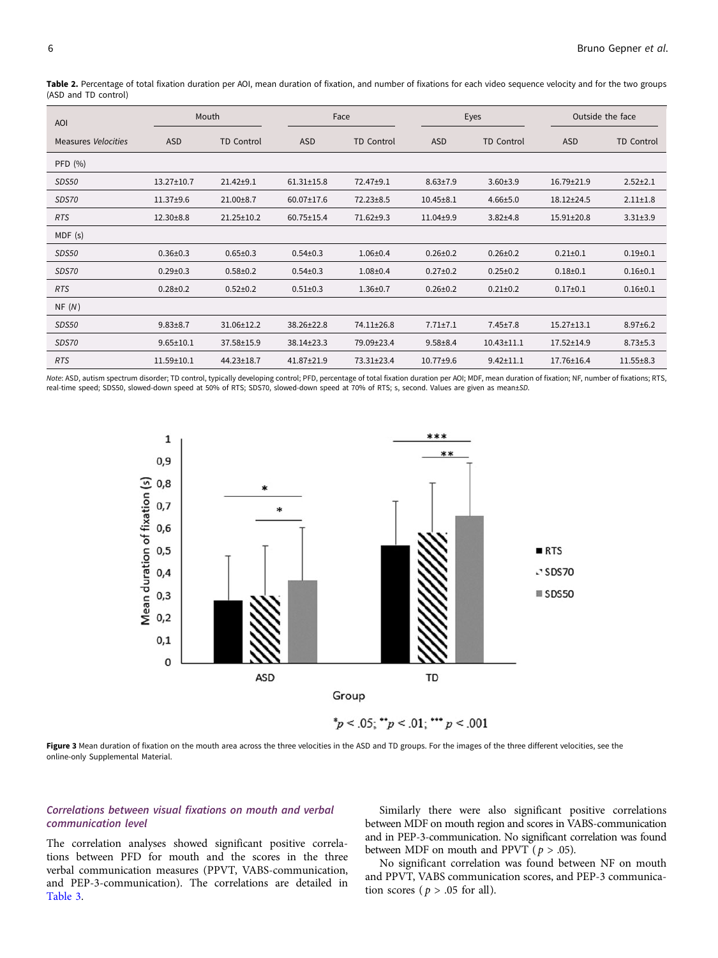| AOI                 | Mouth            |                   | Face             |                   | Eyes            |                   | Outside the face |                   |
|---------------------|------------------|-------------------|------------------|-------------------|-----------------|-------------------|------------------|-------------------|
| Measures Velocities | <b>ASD</b>       | <b>TD Control</b> | <b>ASD</b>       | <b>TD Control</b> | <b>ASD</b>      | <b>TD Control</b> | <b>ASD</b>       | <b>TD Control</b> |
| PFD (%)             |                  |                   |                  |                   |                 |                   |                  |                   |
| SDS50               | $13.27 \pm 10.7$ | $21.42 \pm 9.1$   | $61.31 \pm 15.8$ | 72.47±9.1         | $8.63{\pm}7.9$  | $3.60 \pm 3.9$    | $16.79 \pm 21.9$ | $2.52 \pm 2.1$    |
| SDS70               | $11.37 \pm 9.6$  | 21.00±8.7         | 60.07±17.6       | 72.23±8.5         | $10.45 \pm 8.1$ | $4.66 \pm 5.0$    | 18.12±24.5       | $2.11 \pm 1.8$    |
| <b>RTS</b>          | $12.30 \pm 8.8$  | 21.25±10.2        | $60.75 \pm 15.4$ | 71.62±9.3         | $11.04 \pm 9.9$ | $3.82{\pm}4.8$    | 15.91±20.8       | $3.31 \pm 3.9$    |
| MDF(s)              |                  |                   |                  |                   |                 |                   |                  |                   |
| SDS50               | $0.36 \pm 0.3$   | $0.65 \pm 0.3$    | $0.54 \pm 0.3$   | $1.06 \pm 0.4$    | $0.26 \pm 0.2$  | $0.26 \pm 0.2$    | $0.21 \pm 0.1$   | $0.19 + 0.1$      |
| SDS70               | $0.29 \pm 0.3$   | $0.58 + 0.2$      | $0.54 \pm 0.3$   | $1.08 + 0.4$      | $0.27 \pm 0.2$  | $0.25 \pm 0.2$    | $0.18 + 0.1$     | $0.16 + 0.1$      |
| <b>RTS</b>          | $0.28 \pm 0.2$   | $0.52 \pm 0.2$    | $0.51 \pm 0.3$   | $1.36 \pm 0.7$    | $0.26 \pm 0.2$  | $0.21 \pm 0.2$    | $0.17 \pm 0.1$   | $0.16 + 0.1$      |
| NF(N)               |                  |                   |                  |                   |                 |                   |                  |                   |
| SDS50               | $9.83 \pm 8.7$   | 31.06±12.2        | 38.26±22.8       | 74.11±26.8        | $7.71 \pm 7.1$  | $7.45 \pm 7.8$    | $15.27 \pm 13.1$ | $8.97 \pm 6.2$    |
| SDS70               | $9.65 \pm 10.1$  | 37.58±15.9        | 38.14±23.3       | 79.09±23.4        | $9.58 \pm 8.4$  | $10.43 \pm 11.1$  | 17.52±14.9       | $8.73 \pm 5.3$    |
| <b>RTS</b>          | 11.59±10.1       | 44.23±18.7        | 41.87±21.9       | 73.31±23.4        | 10.77±9.6       | $9.42 \pm 11.1$   | 17.76±16.4       | $11.55 \pm 8.3$   |

<span id="page-5-0"></span>Table 2. Percentage of total fixation duration per AOI, mean duration of fixation, and number of fixations for each video sequence velocity and for the two groups (ASD and TD control)

Note: ASD, autism spectrum disorder; TD control, typically developing control; PFD, percentage of total fixation duration per AOI; MDF, mean duration of fixation; NF, number of fixations; RTS, real-time speed; SDS50, slowed-down speed at 50% of RTS; SDS70, slowed-down speed at 70% of RTS; s, second. Values are given as mean±SD.



Figure 3 Mean duration of fixation on the mouth area across the three velocities in the ASD and TD groups. For the images of the three different velocities, see the online-only Supplemental Material.

# Correlations between visual fixations on mouth and verbal communication level

The correlation analyses showed significant positive correlations between PFD for mouth and the scores in the three verbal communication measures (PPVT, VABS-communication, and PEP-3-communication). The correlations are detailed in [Table 3](#page-6-0).

Similarly there were also significant positive correlations between MDF on mouth region and scores in VABS-communication and in PEP-3-communication. No significant correlation was found between MDF on mouth and PPVT ( $p > .05$ ).

No significant correlation was found between NF on mouth and PPVT, VABS communication scores, and PEP-3 communication scores ( $p > .05$  for all).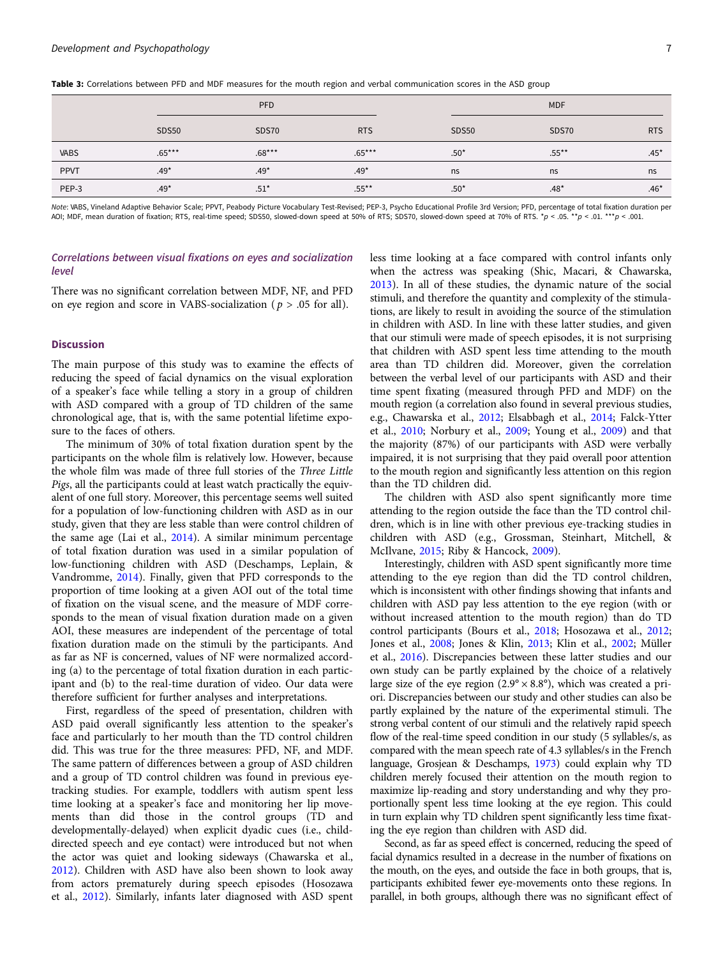<span id="page-6-0"></span>Table 3: Correlations between PFD and MDF measures for the mouth region and verbal communication scores in the ASD group

|             |              | <b>PFD</b> |            | <b>MDF</b>   |          |            |
|-------------|--------------|------------|------------|--------------|----------|------------|
|             | <b>SDS50</b> | SDS70      | <b>RTS</b> | <b>SDS50</b> | SDS70    | <b>RTS</b> |
| <b>VABS</b> | $.65***$     | $.68***$   | $.65***$   | $.50*$       | $.55***$ | $.45*$     |
| PPVT        | $.49*$       | $.49*$     | $.49*$     | ns           | ns       | ns         |
| PEP-3       | $.49*$       | $.51*$     | $.55***$   | $.50*$       | $.48*$   | $.46*$     |

Note: VABS, Vineland Adaptive Behavior Scale; PPVT, Peabody Picture Vocabulary Test-Revised; PEP-3, Psycho Educational Profile 3rd Version; PFD, percentage of total fixation duration per AOI; MDF, mean duration of fixation; RTS, real-time speed; SDS50, slowed-down speed at 50% of RTS; SDS70, slowed-down speed at 70% of RTS. \*p < .05. \*\*p < .01. \*\*p < .01.

# Correlations between visual fixations on eyes and socialization level

There was no significant correlation between MDF, NF, and PFD on eye region and score in VABS-socialization ( $p > .05$  for all).

# **Discussion**

The main purpose of this study was to examine the effects of reducing the speed of facial dynamics on the visual exploration of a speaker's face while telling a story in a group of children with ASD compared with a group of TD children of the same chronological age, that is, with the same potential lifetime exposure to the faces of others.

The minimum of 30% of total fixation duration spent by the participants on the whole film is relatively low. However, because the whole film was made of three full stories of the Three Little Pigs, all the participants could at least watch practically the equivalent of one full story. Moreover, this percentage seems well suited for a population of low-functioning children with ASD as in our study, given that they are less stable than were control children of the same age (Lai et al., [2014\)](#page-8-0). A similar minimum percentage of total fixation duration was used in a similar population of low-functioning children with ASD (Deschamps, Leplain, & Vandromme, [2014\)](#page-7-0). Finally, given that PFD corresponds to the proportion of time looking at a given AOI out of the total time of fixation on the visual scene, and the measure of MDF corresponds to the mean of visual fixation duration made on a given AOI, these measures are independent of the percentage of total fixation duration made on the stimuli by the participants. And as far as NF is concerned, values of NF were normalized according (a) to the percentage of total fixation duration in each participant and (b) to the real-time duration of video. Our data were therefore sufficient for further analyses and interpretations.

First, regardless of the speed of presentation, children with ASD paid overall significantly less attention to the speaker's face and particularly to her mouth than the TD control children did. This was true for the three measures: PFD, NF, and MDF. The same pattern of differences between a group of ASD children and a group of TD control children was found in previous eyetracking studies. For example, toddlers with autism spent less time looking at a speaker's face and monitoring her lip movements than did those in the control groups (TD and developmentally-delayed) when explicit dyadic cues (i.e., childdirected speech and eye contact) were introduced but not when the actor was quiet and looking sideways (Chawarska et al., [2012\)](#page-7-0). Children with ASD have also been shown to look away from actors prematurely during speech episodes (Hosozawa et al., [2012](#page-8-0)). Similarly, infants later diagnosed with ASD spent less time looking at a face compared with control infants only when the actress was speaking (Shic, Macari, & Chawarska, [2013](#page-8-0)). In all of these studies, the dynamic nature of the social stimuli, and therefore the quantity and complexity of the stimulations, are likely to result in avoiding the source of the stimulation in children with ASD. In line with these latter studies, and given that our stimuli were made of speech episodes, it is not surprising that children with ASD spent less time attending to the mouth area than TD children did. Moreover, given the correlation between the verbal level of our participants with ASD and their time spent fixating (measured through PFD and MDF) on the mouth region (a correlation also found in several previous studies, e.g., Chawarska et al., [2012](#page-7-0); Elsabbagh et al., [2014](#page-7-0); Falck-Ytter et al., [2010;](#page-8-0) Norbury et al., [2009](#page-8-0); Young et al., [2009](#page-9-0)) and that the majority (87%) of our participants with ASD were verbally impaired, it is not surprising that they paid overall poor attention to the mouth region and significantly less attention on this region than the TD children did.

The children with ASD also spent significantly more time attending to the region outside the face than the TD control children, which is in line with other previous eye-tracking studies in children with ASD (e.g., Grossman, Steinhart, Mitchell, & McIlvane, [2015](#page-8-0); Riby & Hancock, [2009](#page-8-0)).

Interestingly, children with ASD spent significantly more time attending to the eye region than did the TD control children, which is inconsistent with other findings showing that infants and children with ASD pay less attention to the eye region (with or without increased attention to the mouth region) than do TD control participants (Bours et al., [2018](#page-7-0); Hosozawa et al., [2012](#page-8-0); Jones et al., [2008;](#page-8-0) Jones & Klin, [2013;](#page-8-0) Klin et al., [2002](#page-8-0); Müller et al., [2016](#page-8-0)). Discrepancies between these latter studies and our own study can be partly explained by the choice of a relatively large size of the eye region  $(2.9^\circ \times 8.8^\circ)$ , which was created a priori. Discrepancies between our study and other studies can also be partly explained by the nature of the experimental stimuli. The strong verbal content of our stimuli and the relatively rapid speech flow of the real-time speed condition in our study (5 syllables/s, as compared with the mean speech rate of 4.3 syllables/s in the French language, Grosjean & Deschamps, [1973](#page-8-0)) could explain why TD children merely focused their attention on the mouth region to maximize lip-reading and story understanding and why they proportionally spent less time looking at the eye region. This could in turn explain why TD children spent significantly less time fixating the eye region than children with ASD did.

Second, as far as speed effect is concerned, reducing the speed of facial dynamics resulted in a decrease in the number of fixations on the mouth, on the eyes, and outside the face in both groups, that is, participants exhibited fewer eye-movements onto these regions. In parallel, in both groups, although there was no significant effect of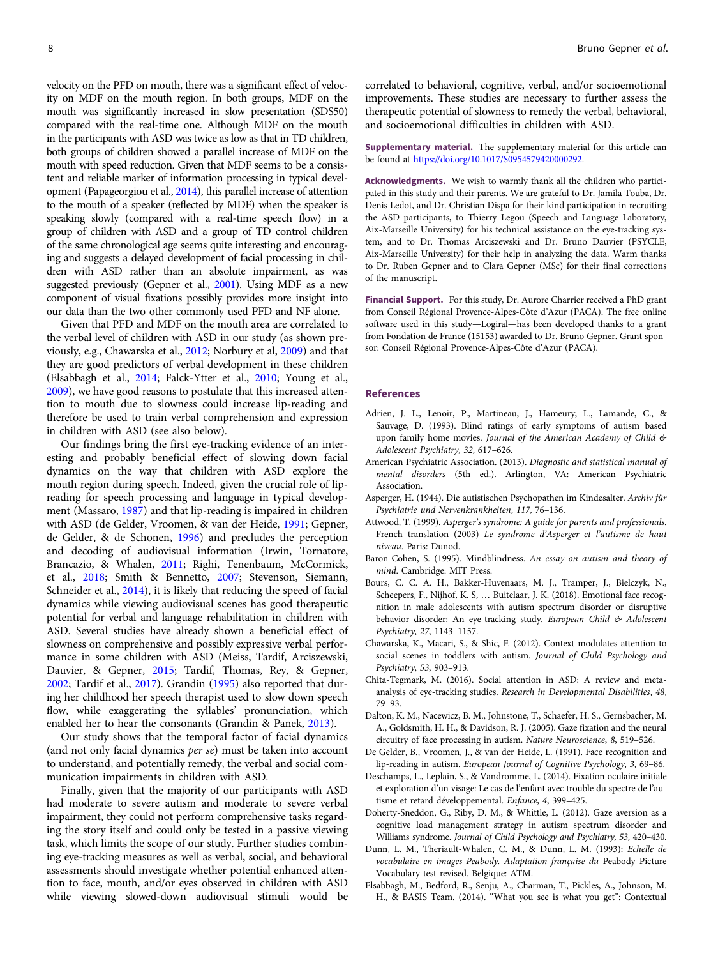<span id="page-7-0"></span>velocity on the PFD on mouth, there was a significant effect of velocity on MDF on the mouth region. In both groups, MDF on the mouth was significantly increased in slow presentation (SDS50) compared with the real-time one. Although MDF on the mouth in the participants with ASD was twice as low as that in TD children, both groups of children showed a parallel increase of MDF on the mouth with speed reduction. Given that MDF seems to be a consistent and reliable marker of information processing in typical development (Papageorgiou et al., [2014\)](#page-8-0), this parallel increase of attention to the mouth of a speaker (reflected by MDF) when the speaker is speaking slowly (compared with a real-time speech flow) in a group of children with ASD and a group of TD control children of the same chronological age seems quite interesting and encouraging and suggests a delayed development of facial processing in children with ASD rather than an absolute impairment, as was suggested previously (Gepner et al., [2001\)](#page-8-0). Using MDF as a new component of visual fixations possibly provides more insight into our data than the two other commonly used PFD and NF alone.

Given that PFD and MDF on the mouth area are correlated to the verbal level of children with ASD in our study (as shown previously, e.g., Chawarska et al., 2012; Norbury et al, [2009](#page-8-0)) and that they are good predictors of verbal development in these children (Elsabbagh et al., 2014; Falck-Ytter et al., [2010](#page-8-0); Young et al., [2009\)](#page-9-0), we have good reasons to postulate that this increased attention to mouth due to slowness could increase lip-reading and therefore be used to train verbal comprehension and expression in children with ASD (see also below).

Our findings bring the first eye-tracking evidence of an interesting and probably beneficial effect of slowing down facial dynamics on the way that children with ASD explore the mouth region during speech. Indeed, given the crucial role of lipreading for speech processing and language in typical development (Massaro, [1987\)](#page-8-0) and that lip-reading is impaired in children with ASD (de Gelder, Vroomen, & van der Heide, 1991; Gepner, de Gelder, & de Schonen, [1996](#page-8-0)) and precludes the perception and decoding of audiovisual information (Irwin, Tornatore, Brancazio, & Whalen, [2011;](#page-8-0) Righi, Tenenbaum, McCormick, et al., [2018;](#page-8-0) Smith & Bennetto, [2007;](#page-8-0) Stevenson, Siemann, Schneider et al., [2014](#page-9-0)), it is likely that reducing the speed of facial dynamics while viewing audiovisual scenes has good therapeutic potential for verbal and language rehabilitation in children with ASD. Several studies have already shown a beneficial effect of slowness on comprehensive and possibly expressive verbal performance in some children with ASD (Meiss, Tardif, Arciszewski, Dauvier, & Gepner, [2015](#page-8-0); Tardif, Thomas, Rey, & Gepner, [2002;](#page-9-0) Tardif et al., [2017\)](#page-9-0). Grandin [\(1995](#page-8-0)) also reported that during her childhood her speech therapist used to slow down speech flow, while exaggerating the syllables' pronunciation, which enabled her to hear the consonants (Grandin & Panek, [2013](#page-8-0)).

Our study shows that the temporal factor of facial dynamics (and not only facial dynamics per se) must be taken into account to understand, and potentially remedy, the verbal and social communication impairments in children with ASD.

Finally, given that the majority of our participants with ASD had moderate to severe autism and moderate to severe verbal impairment, they could not perform comprehensive tasks regarding the story itself and could only be tested in a passive viewing task, which limits the scope of our study. Further studies combining eye-tracking measures as well as verbal, social, and behavioral assessments should investigate whether potential enhanced attention to face, mouth, and/or eyes observed in children with ASD while viewing slowed-down audiovisual stimuli would be

correlated to behavioral, cognitive, verbal, and/or socioemotional improvements. These studies are necessary to further assess the therapeutic potential of slowness to remedy the verbal, behavioral, and socioemotional difficulties in children with ASD.

Supplementary material. The supplementary material for this article can be found at <https://doi.org/10.1017/S0954579420000292>.

Acknowledgments. We wish to warmly thank all the children who participated in this study and their parents. We are grateful to Dr. Jamila Touba, Dr. Denis Ledot, and Dr. Christian Dispa for their kind participation in recruiting the ASD participants, to Thierry Legou (Speech and Language Laboratory, Aix-Marseille University) for his technical assistance on the eye-tracking system, and to Dr. Thomas Arciszewski and Dr. Bruno Dauvier (PSYCLE, Aix-Marseille University) for their help in analyzing the data. Warm thanks to Dr. Ruben Gepner and to Clara Gepner (MSc) for their final corrections of the manuscript.

Financial Support. For this study, Dr. Aurore Charrier received a PhD grant from Conseil Régional Provence-Alpes-Côte d'Azur (PACA). The free online software used in this study—Logiral—has been developed thanks to a grant from Fondation de France (15153) awarded to Dr. Bruno Gepner. Grant sponsor: Conseil Régional Provence-Alpes-Côte d'Azur (PACA).

#### References

- Adrien, J. L., Lenoir, P., Martineau, J., Hameury, L., Lamande, C., & Sauvage, D. (1993). Blind ratings of early symptoms of autism based upon family home movies. Journal of the American Academy of Child & Adolescent Psychiatry, 32, 617–626.
- American Psychiatric Association. (2013). Diagnostic and statistical manual of mental disorders (5th ed.). Arlington, VA: American Psychiatric Association.
- Asperger, H. (1944). Die autistischen Psychopathen im Kindesalter. Archiv für Psychiatrie und Nervenkrankheiten, 117, 76–136.
- Attwood, T. (1999). Asperger's syndrome: A guide for parents and professionals. French translation (2003) Le syndrome d'Asperger et l'autisme de haut niveau. Paris: Dunod.
- Baron-Cohen, S. (1995). Mindblindness. An essay on autism and theory of mind. Cambridge: MIT Press.
- Bours, C. C. A. H., Bakker-Huvenaars, M. J., Tramper, J., Bielczyk, N., Scheepers, F., Nijhof, K. S, … Buitelaar, J. K. (2018). Emotional face recognition in male adolescents with autism spectrum disorder or disruptive behavior disorder: An eye-tracking study. European Child & Adolescent Psychiatry, 27, 1143–1157.
- Chawarska, K., Macari, S., & Shic, F. (2012). Context modulates attention to social scenes in toddlers with autism. Journal of Child Psychology and Psychiatry, 53, 903–913.
- Chita-Tegmark, M. (2016). Social attention in ASD: A review and metaanalysis of eye-tracking studies. Research in Developmental Disabilities, 48, 79–93.
- Dalton, K. M., Nacewicz, B. M., Johnstone, T., Schaefer, H. S., Gernsbacher, M. A., Goldsmith, H. H., & Davidson, R. J. (2005). Gaze fixation and the neural circuitry of face processing in autism. Nature Neuroscience, 8, 519–526.
- De Gelder, B., Vroomen, J., & van der Heide, L. (1991). Face recognition and lip-reading in autism. European Journal of Cognitive Psychology, 3, 69–86.
- Deschamps, L., Leplain, S., & Vandromme, L. (2014). Fixation oculaire initiale et exploration d'un visage: Le cas de l'enfant avec trouble du spectre de l'autisme et retard développemental. Enfance, 4, 399–425.
- Doherty-Sneddon, G., Riby, D. M., & Whittle, L. (2012). Gaze aversion as a cognitive load management strategy in autism spectrum disorder and Williams syndrome. Journal of Child Psychology and Psychiatry, 53, 420–430.
- Dunn, L. M., Theriault-Whalen, C. M., & Dunn, L. M. (1993): Echelle de vocabulaire en images Peabody. Adaptation française du Peabody Picture Vocabulary test-revised. Belgique: ATM.
- Elsabbagh, M., Bedford, R., Senju, A., Charman, T., Pickles, A., Johnson, M. H., & BASIS Team. (2014). "What you see is what you get": Contextual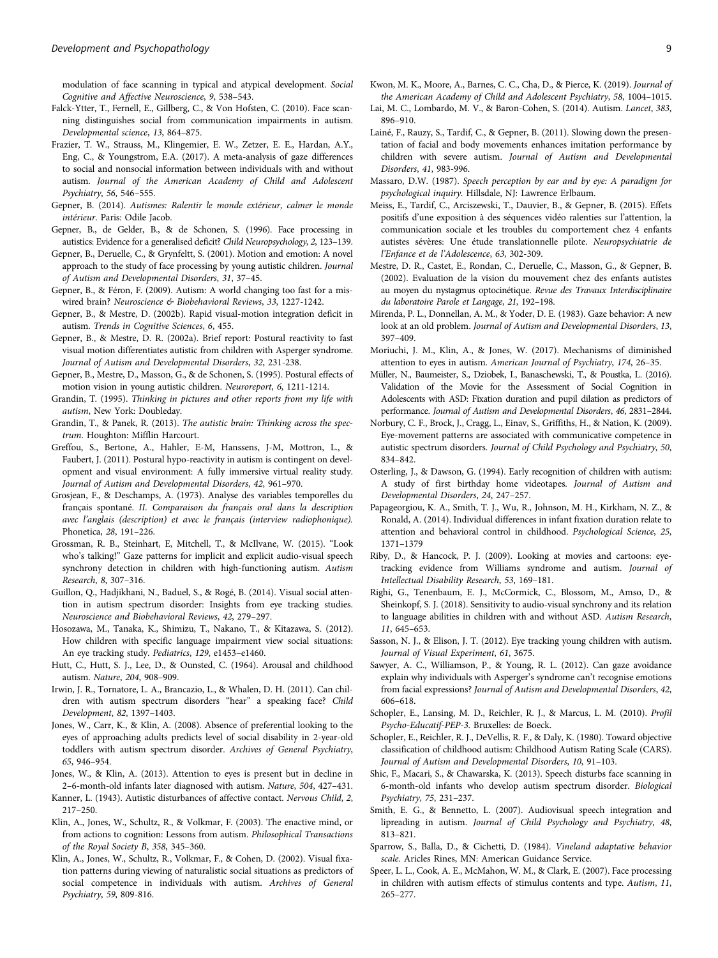<span id="page-8-0"></span>modulation of face scanning in typical and atypical development. Social Cognitive and Affective Neuroscience, 9, 538–543.

- Falck-Ytter, T., Fernell, E., Gillberg, C., & Von Hofsten, C. (2010). Face scanning distinguishes social from communication impairments in autism. Developmental science, 13, 864–875.
- Frazier, T. W., Strauss, M., Klingemier, E. W., Zetzer, E. E., Hardan, A.Y., Eng, C., & Youngstrom, E.A. (2017). A meta-analysis of gaze differences to social and nonsocial information between individuals with and without autism. Journal of the American Academy of Child and Adolescent Psychiatry, 56, 546–555.
- Gepner, B. (2014). Autismes: Ralentir le monde extérieur, calmer le monde intérieur. Paris: Odile Jacob.
- Gepner, B., de Gelder, B., & de Schonen, S. (1996). Face processing in autistics: Evidence for a generalised deficit? Child Neuropsychology, 2, 123–139.
- Gepner, B., Deruelle, C., & Grynfeltt, S. (2001). Motion and emotion: A novel approach to the study of face processing by young autistic children. Journal of Autism and Developmental Disorders, 31, 37–45.
- Gepner, B., & Féron, F. (2009). Autism: A world changing too fast for a miswired brain? Neuroscience & Biobehavioral Reviews, 33, 1227-1242.
- Gepner, B., & Mestre, D. (2002b). Rapid visual-motion integration deficit in autism. Trends in Cognitive Sciences, 6, 455.
- Gepner, B., & Mestre, D. R. (2002a). Brief report: Postural reactivity to fast visual motion differentiates autistic from children with Asperger syndrome. Journal of Autism and Developmental Disorders, 32, 231-238.
- Gepner, B., Mestre, D., Masson, G., & de Schonen, S. (1995). Postural effects of motion vision in young autistic children. Neuroreport, 6, 1211-1214.
- Grandin, T. (1995). Thinking in pictures and other reports from my life with autism, New York: Doubleday.
- Grandin, T., & Panek, R. (2013). The autistic brain: Thinking across the spectrum. Houghton: Mifflin Harcourt.
- Greffou, S., Bertone, A., Hahler, E-M, Hanssens, J-M, Mottron, L., & Faubert, J. (2011). Postural hypo-reactivity in autism is contingent on development and visual environment: A fully immersive virtual reality study. Journal of Autism and Developmental Disorders, 42, 961–970.
- Grosjean, F., & Deschamps, A. (1973). Analyse des variables temporelles du français spontané. II. Comparaison du français oral dans la description avec l'anglais (description) et avec le français (interview radiophonique). Phonetica, 28, 191–226.
- Grossman, R. B., Steinhart, E, Mitchell, T., & McIlvane, W. (2015). "Look who's talking!" Gaze patterns for implicit and explicit audio-visual speech synchrony detection in children with high-functioning autism. Autism Research, 8, 307–316.
- Guillon, Q., Hadjikhani, N., Baduel, S., & Rogé, B. (2014). Visual social attention in autism spectrum disorder: Insights from eye tracking studies. Neuroscience and Biobehavioral Reviews, 42, 279–297.
- Hosozawa, M., Tanaka, K., Shimizu, T., Nakano, T., & Kitazawa, S. (2012). How children with specific language impairment view social situations: An eye tracking study. Pediatrics, 129, e1453–e1460.
- Hutt, C., Hutt, S. J., Lee, D., & Ounsted, C. (1964). Arousal and childhood autism. Nature, 204, 908–909.
- Irwin, J. R., Tornatore, L. A., Brancazio, L., & Whalen, D. H. (2011). Can children with autism spectrum disorders "hear" a speaking face? Child Development, 82, 1397–1403.
- Jones, W., Carr, K., & Klin, A. (2008). Absence of preferential looking to the eyes of approaching adults predicts level of social disability in 2-year-old toddlers with autism spectrum disorder. Archives of General Psychiatry, 65, 946–954.
- Jones, W., & Klin, A. (2013). Attention to eyes is present but in decline in 2–6-month-old infants later diagnosed with autism. Nature, 504, 427–431.
- Kanner, L. (1943). Autistic disturbances of affective contact. Nervous Child, 2, 217–250.
- Klin, A., Jones, W., Schultz, R., & Volkmar, F. (2003). The enactive mind, or from actions to cognition: Lessons from autism. Philosophical Transactions of the Royal Society B, 358, 345–360.
- Klin, A., Jones, W., Schultz, R., Volkmar, F., & Cohen, D. (2002). Visual fixation patterns during viewing of naturalistic social situations as predictors of social competence in individuals with autism. Archives of General Psychiatry, 59, 809-816.
- Kwon, M. K., Moore, A., Barnes, C. C., Cha, D., & Pierce, K. (2019). Journal of the American Academy of Child and Adolescent Psychiatry, 58, 1004–1015.
- Lai, M. C., Lombardo, M. V., & Baron-Cohen, S. (2014). Autism. Lancet, 383, 896–910.
- Lainé, F., Rauzy, S., Tardif, C., & Gepner, B. (2011). Slowing down the presentation of facial and body movements enhances imitation performance by children with severe autism. Journal of Autism and Developmental Disorders, 41, 983-996.
- Massaro, D.W. (1987). Speech perception by ear and by eye: A paradigm for psychological inquiry. Hillsdale, NJ: Lawrence Erlbaum.
- Meiss, E., Tardif, C., Arciszewski, T., Dauvier, B., & Gepner, B. (2015). Effets positifs d'une exposition à des séquences vidéo ralenties sur l'attention, la communication sociale et les troubles du comportement chez 4 enfants autistes sévères: Une étude translationnelle pilote. Neuropsychiatrie de l'Enfance et de l'Adolescence, 63, 302-309.
- Mestre, D. R., Castet, E., Rondan, C., Deruelle, C., Masson, G., & Gepner, B. (2002). Evaluation de la vision du mouvement chez des enfants autistes au moyen du nystagmus optocinétique. Revue des Travaux Interdisciplinaire du laboratoire Parole et Langage, 21, 192–198.
- Mirenda, P. L., Donnellan, A. M., & Yoder, D. E. (1983). Gaze behavior: A new look at an old problem. Journal of Autism and Developmental Disorders, 13, 397–409.
- Moriuchi, J. M., Klin, A., & Jones, W. (2017). Mechanisms of diminished attention to eyes in autism. American Journal of Psychiatry, 174, 26–35.
- Müller, N., Baumeister, S., Dziobek, I., Banaschewski, T., & Poustka, L. (2016). Validation of the Movie for the Assessment of Social Cognition in Adolescents with ASD: Fixation duration and pupil dilation as predictors of performance. Journal of Autism and Developmental Disorders, 46, 2831–2844.
- Norbury, C. F., Brock, J., Cragg, L., Einav, S., Griffiths, H., & Nation, K. (2009). Eye-movement patterns are associated with communicative competence in autistic spectrum disorders. Journal of Child Psychology and Psychiatry, 50, 834–842.
- Osterling, J., & Dawson, G. (1994). Early recognition of children with autism: A study of first birthday home videotapes. Journal of Autism and Developmental Disorders, 24, 247–257.
- Papageorgiou, K. A., Smith, T. J., Wu, R., Johnson, M. H., Kirkham, N. Z., & Ronald, A. (2014). Individual differences in infant fixation duration relate to attention and behavioral control in childhood. Psychological Science, 25, 1371–1379
- Riby, D., & Hancock, P. J. (2009). Looking at movies and cartoons: eyetracking evidence from Williams syndrome and autism. Journal of Intellectual Disability Research, 53, 169–181.
- Righi, G., Tenenbaum, E. J., McCormick, C., Blossom, M., Amso, D., & Sheinkopf, S. J. (2018). Sensitivity to audio-visual synchrony and its relation to language abilities in children with and without ASD. Autism Research, 11, 645–653.
- Sasson, N. J., & Elison, J. T. (2012). Eye tracking young children with autism. Journal of Visual Experiment, 61, 3675.
- Sawyer, A. C., Williamson, P., & Young, R. L. (2012). Can gaze avoidance explain why individuals with Asperger's syndrome can't recognise emotions from facial expressions? Journal of Autism and Developmental Disorders, 42, 606–618.
- Schopler, E., Lansing, M. D., Reichler, R. J., & Marcus, L. M. (2010). Profil Psycho-Educatif-PEP-3. Bruxelles: de Boeck.
- Schopler, E., Reichler, R. J., DeVellis, R. F., & Daly, K. (1980). Toward objective classification of childhood autism: Childhood Autism Rating Scale (CARS). Journal of Autism and Developmental Disorders, 10, 91–103.
- Shic, F., Macari, S., & Chawarska, K. (2013). Speech disturbs face scanning in 6-month-old infants who develop autism spectrum disorder. Biological Psychiatry, 75, 231–237.
- Smith, E. G., & Bennetto, L. (2007). Audiovisual speech integration and lipreading in autism. Journal of Child Psychology and Psychiatry, 48, 813–821.
- Sparrow, S., Balla, D., & Cichetti, D. (1984). Vineland adaptative behavior scale. Aricles Rines, MN: American Guidance Service.
- Speer, L. L., Cook, A. E., McMahon, W. M., & Clark, E. (2007). Face processing in children with autism effects of stimulus contents and type. Autism, 11, 265–277.